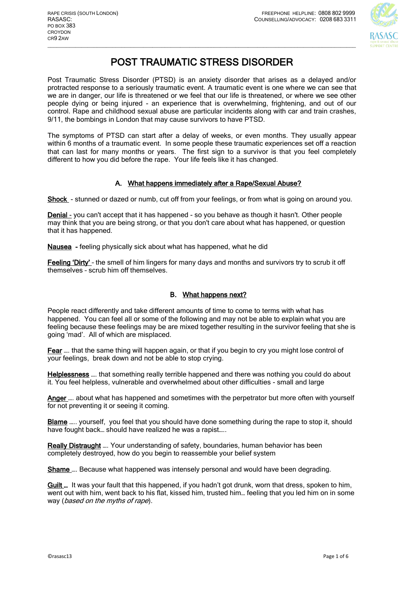

# POST TRAUMATIC STRESS DISORDER

\_\_\_\_\_\_\_\_\_\_\_\_\_\_\_\_\_\_\_\_\_\_\_\_\_\_\_\_\_\_\_\_\_\_\_\_\_\_\_\_\_\_\_\_\_\_\_\_\_\_\_\_\_\_\_\_\_\_\_\_\_\_\_\_\_\_\_\_\_\_\_\_\_\_\_\_\_\_\_\_\_\_\_\_\_\_\_\_\_\_\_\_\_\_\_\_\_\_\_\_

Post Traumatic Stress Disorder (PTSD) is an anxiety disorder that arises as a delayed and/or protracted response to a seriously traumatic event. A traumatic event is one where we can see that we are in danger, our life is threatened or we feel that our life is threatened, or where we see other people dying or being injured - an experience that is overwhelming, frightening, and out of our control. Rape and childhood sexual abuse are particular incidents along with car and train crashes, 9/11, the bombings in London that may cause survivors to have PTSD.

The symptoms of PTSD can start after a delay of weeks, or even months. They usually appear within 6 months of a traumatic event. In some people these traumatic experiences set off a reaction that can last for many months or years. The first sign to a survivor is that you feel completely different to how you did before the rape. Your life feels like it has changed.

# A. What happens immediately after a Rape/Sexual Abuse?

Shock - stunned or dazed or numb, cut off from your feelings, or from what is going on around you.

Denial - you can't accept that it has happened - so you behave as though it hasn't. Other people may think that you are being strong, or that you don't care about what has happened, or question that it has happened.

Nausea - feeling physically sick about what has happened, what he did

Feeling 'Dirty' - the smell of him lingers for many days and months and survivors try to scrub it off themselves – scrub him off themselves.

# B. What happens next?

People react differently and take different amounts of time to come to terms with what has happened. You can feel all or some of the following and may not be able to explain what you are feeling because these feelings may be are mixed together resulting in the survivor feeling that she is going 'mad'. All of which are misplaced.

Fear .... that the same thing will happen again, or that if you begin to cry you might lose control of your feelings, break down and not be able to stop crying.

Helplessness …. that something really terrible happened and there was nothing you could do about it. You feel helpless, vulnerable and overwhelmed about other difficulties - small and large

Anger .... about what has happened and sometimes with the perpetrator but more often with yourself for not preventing it or seeing it coming.

Blame ….. yourself, you feel that you should have done something during the rape to stop it, should have fought back… should have realized he was a rapist…..

Really Distraught …. Your understanding of safety, boundaries, human behavior has been completely destroyed, how do you begin to reassemble your belief system

Shame …. Because what happened was intensely personal and would have been degrading.

Guilt ... It was your fault that this happened, if you hadn't got drunk, worn that dress, spoken to him, went out with him, went back to his flat, kissed him, trusted him… feeling that you led him on in some way (based on the myths of rape).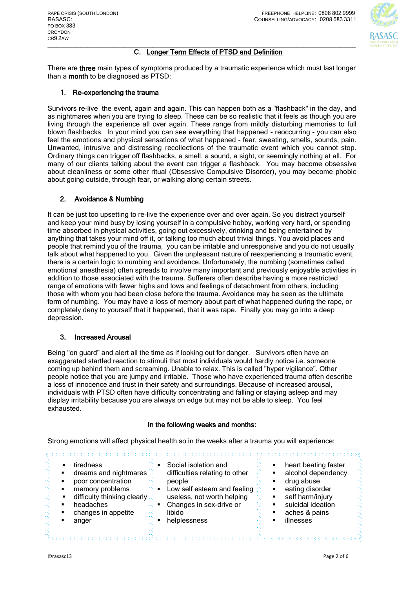

#### \_\_\_\_\_\_\_\_\_\_\_\_\_\_\_\_\_\_\_\_\_\_\_\_\_\_\_\_\_\_\_\_\_\_\_\_\_\_\_\_\_\_\_\_\_\_\_\_\_\_\_\_\_\_\_\_\_\_\_\_\_\_\_\_\_\_\_\_\_\_\_\_\_\_\_\_\_\_\_\_\_\_\_\_\_\_\_\_\_\_\_\_\_\_\_\_\_\_\_\_ C. Longer Term Effects of PTSD and Definition

There are three main types of symptoms produced by a traumatic experience which must last longer than a month to be diagnosed as PTSD:

### 1. Re-experiencing the trauma

Survivors re-live the event, again and again. This can happen both as a "flashback" in the day, and as nightmares when you are trying to sleep. These can be so realistic that it feels as though you are living through the experience all over again. These range from mildly disturbing memories to full blown flashbacks. In your mind you can see everything that happened - reoccurring - you can also feel the emotions and physical sensations of what happened - fear, sweating, smells, sounds, pain. Unwanted, intrusive and distressing recollections of the traumatic event which you cannot stop. Ordinary things can trigger off flashbacks, a smell, a sound, a sight, or seemingly nothing at all. For many of our clients talking about the event can trigger a flashback. You may become obsessive about cleanliness or some other ritual (Obsessive Compulsive Disorder), you may become phobic about going outside, through fear, or walking along certain streets.

### 2. Avoidance & Numbing

It can be just too upsetting to re-live the experience over and over again. So you distract yourself and keep your mind busy by losing yourself in a compulsive hobby, working very hard, or spending time absorbed in physical activities, going out excessively, drinking and being entertained by anything that takes your mind off it, or talking too much about trivial things. You avoid places and people that remind you of the trauma, you can be irritable and unresponsive and you do not usually talk about what happened to you. Given the unpleasant nature of reexperiencing a traumatic event, there is a certain logic to numbing and avoidance. Unfortunately, the numbing (sometimes called emotional anesthesia) often spreads to involve many important and previously enjoyable activities in addition to those associated with the trauma. Sufferers often describe having a more restricted range of emotions with fewer highs and lows and feelings of detachment from others, including those with whom you had been close before the trauma. Avoidance may be seen as the ultimate form of numbing. You may have a loss of memory about part of what happened during the rape, or completely deny to yourself that it happened, that it was rape. Finally you may go into a deep depression.

### 3. Increased Arousal

Being "on guard" and alert all the time as if looking out for danger. Survivors often have an exaggerated startled reaction to stimuli that most individuals would hardly notice i.e. someone coming up behind them and screaming. Unable to relax. This is called "hyper vigilance". Other people notice that you are jumpy and irritable. Those who have experienced trauma often describe a loss of innocence and trust in their safety and surroundings. Because of increased arousal, individuals with PTSD often have difficulty concentrating and falling or staying asleep and may display irritability because you are always on edge but may not be able to sleep. You feel exhausted.

### In the following weeks and months:

Strong emotions will affect physical health so in the weeks after a trauma you will experience:

| tiredness<br>dreams and nightmares<br>poor concentration<br>memory problems<br>difficulty thinking clearly<br>$\blacksquare$<br>headaches<br>changes in appetite | Social isolation and<br>difficulties relating to other<br>people<br>Low self esteem and feeling<br>useless, not worth helping<br>Changes in sex-drive or<br>libido | heart beating faster<br>٠<br>alcohol dependency<br>٠<br>drug abuse<br>eating disorder<br>٠<br>self harm/injury<br>$\blacksquare$<br>suicidal ideation<br>aches & pains |
|------------------------------------------------------------------------------------------------------------------------------------------------------------------|--------------------------------------------------------------------------------------------------------------------------------------------------------------------|------------------------------------------------------------------------------------------------------------------------------------------------------------------------|
| anger                                                                                                                                                            | helplessness                                                                                                                                                       | illnesses                                                                                                                                                              |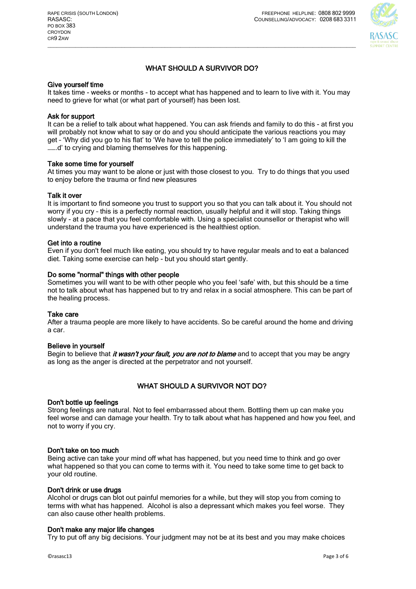

# WHAT SHOULD A SURVIVOR DO?

\_\_\_\_\_\_\_\_\_\_\_\_\_\_\_\_\_\_\_\_\_\_\_\_\_\_\_\_\_\_\_\_\_\_\_\_\_\_\_\_\_\_\_\_\_\_\_\_\_\_\_\_\_\_\_\_\_\_\_\_\_\_\_\_\_\_\_\_\_\_\_\_\_\_\_\_\_\_\_\_\_\_\_\_\_\_\_\_\_\_\_\_\_\_\_\_\_\_\_\_

#### Give yourself time

It takes time - weeks or months - to accept what has happened and to learn to live with it. You may need to grieve for what (or what part of yourself) has been lost.

#### Ask for support

It can be a relief to talk about what happened. You can ask friends and family to do this - at first you will probably not know what to say or do and you should anticipate the various reactions you may get – 'Why did you go to his flat' to 'We have to tell the police immediately' to 'I am going to kill the …….d' to crying and blaming themselves for this happening.

#### Take some time for yourself

At times you may want to be alone or just with those closest to you. Try to do things that you used to enjoy before the trauma or find new pleasures

### Talk it over

It is important to find someone you trust to support you so that you can talk about it. You should not worry if you cry – this is a perfectly normal reaction, usually helpful and it will stop. Taking things slowly - at a pace that you feel comfortable with. Using a specialist counsellor or therapist who will understand the trauma you have experienced is the healthiest option.

#### Get into a routine

Even if you don't feel much like eating, you should try to have regular meals and to eat a balanced diet. Taking some exercise can help - but you should start gently.

#### Do some "normal" things with other people

Sometimes you will want to be with other people who you feel 'safe' with, but this should be a time not to talk about what has happened but to try and relax in a social atmosphere. This can be part of the healing process.

#### Take care

After a trauma people are more likely to have accidents. So be careful around the home and driving a car.

#### Believe in yourself

Begin to believe that *it wasn't your fault, you are not to blame* and to accept that you may be angry as long as the anger is directed at the perpetrator and not yourself.

# WHAT SHOULD A SURVIVOR NOT DO?

#### Don't bottle up feelings

Strong feelings are natural. Not to feel embarrassed about them. Bottling them up can make you feel worse and can damage your health. Try to talk about what has happened and how you feel, and not to worry if you cry.

### Don't take on too much

Being active can take your mind off what has happened, but you need time to think and go over what happened so that you can come to terms with it. You need to take some time to get back to your old routine.

#### Don't drink or use drugs

Alcohol or drugs can blot out painful memories for a while, but they will stop you from coming to terms with what has happened. Alcohol is also a depressant which makes you feel worse. They can also cause other health problems.

#### Don't make any major life changes

Try to put off any big decisions. Your judgment may not be at its best and you may make choices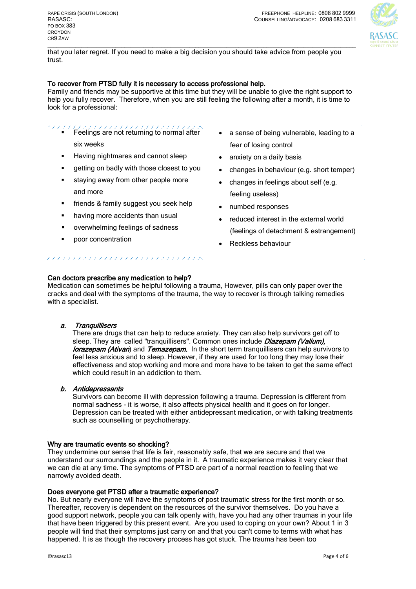

that you later regret. If you need to make a big decision you should take advice from people you trust.

\_\_\_\_\_\_\_\_\_\_\_\_\_\_\_\_\_\_\_\_\_\_\_\_\_\_\_\_\_\_\_\_\_\_\_\_\_\_\_\_\_\_\_\_\_\_\_\_\_\_\_\_\_\_\_\_\_\_\_\_\_\_\_\_\_\_\_\_\_\_\_\_\_\_\_\_\_\_\_\_\_\_\_\_\_\_\_\_\_\_\_\_\_\_\_\_\_\_\_\_

### To recover from PTSD fully it is necessary to access professional help.

Family and friends may be supportive at this time but they will be unable to give the right support to help you fully recover. Therefore, when you are still feeling the following after a month, it is time to look for a professional:

,,,,,,,,,,,,,,,,,, **Feelings are not returning to normal after** 

six weeks

- **Having nightmares and cannot sleep**
- **EXECUTE:** getting on badly with those closest to you
- **staying away from other people more** and more
- **ficture** friends & family suggest you seek help
- having more accidents than usual
- overwhelming feelings of sadness
- poor concentration
- a sense of being vulnerable, leading to a fear of losing control
- anxiety on a daily basis
- changes in behaviour (e.g. short temper)
- changes in feelings about self (e.g. feeling useless)
- numbed responses
- reduced interest in the external world (feelings of detachment & estrangement)
- Reckless behaviour

# Can doctors prescribe any medication to help?

,,,,,,,,,,,,,,,,,,,,,,,,,,,,,,,

Medication can sometimes be helpful following a trauma, However, pills can only paper over the cracks and deal with the symptoms of the trauma, the way to recover is through talking remedies with a specialist.

# a. Tranquillisers

There are drugs that can help to reduce anxiety. They can also help survivors get off to sleep. They are called "tranquillisers". Common ones include *Diazepam (Valium)*, *lorazepam (Ativan***)** and *Temazepam.* In the short term tranquillisers can help survivors to feel less anxious and to sleep. However, if they are used for too long they may lose their effectiveness and stop working and more and more have to be taken to get the same effect which could result in an addiction to them.

# b. Antidepressants

Survivors can become ill with depression following a trauma. Depression is different from normal sadness - it is worse, it also affects physical health and it goes on for longer. Depression can be treated with either [antidepressant](http://www.rcpsych.ac.uk/mentalhealthinformation/mentalhealthproblems/depression/antidepressants.aspx) medication, or with talking treatments such as counselling or psychotherapy.

# Why are traumatic events so shocking?

They undermine our sense that life is fair, reasonably safe, that we are secure and that we understand our surroundings and the people in it. A traumatic experience makes it very clear that we can die at any time. The symptoms of PTSD are part of a normal reaction to feeling that we narrowly avoided death.

# Does everyone get PTSD after a traumatic experience?

No. But nearly everyone will have the symptoms of post traumatic stress for the first month or so. Thereafter, recovery is dependent on the resources of the survivor themselves. Do you have a good support network, people you can talk openly with, have you had any other traumas in your life that have been triggered by this present event. Are you used to coping on your own? About 1 in 3 people will find that their symptoms just carry on and that you can't come to terms with what has happened. It is as though the recovery process has got stuck. The trauma has been too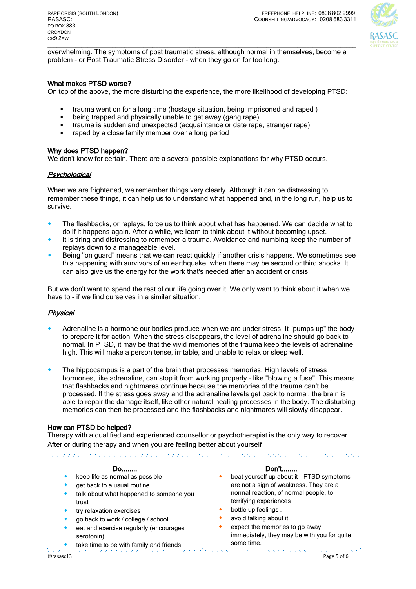

\_\_\_\_\_\_\_\_\_\_\_\_\_\_\_\_\_\_\_\_\_\_\_\_\_\_\_\_\_\_\_\_\_\_\_\_\_\_\_\_\_\_\_\_\_\_\_\_\_\_\_\_\_\_\_\_\_\_\_\_\_\_\_\_\_\_\_\_\_\_\_\_\_\_\_\_\_\_\_\_\_\_\_\_\_\_\_\_\_\_\_\_\_\_\_\_\_\_\_\_ overwhelming. The symptoms of post traumatic stress, although normal in themselves, become a problem - or Post Traumatic Stress Disorder - when they go on for too long.

# What makes PTSD worse?

On top of the above, the more disturbing the experience, the more likelihood of developing PTSD:

- trauma went on for a long time (hostage situation, being imprisoned and raped )
- being trapped and physically unable to get away (gang rape)
- **that** trauma is sudden and unexpected (acquaintance or date rape, stranger rape)
- raped by a close family member over a long period

### Why does PTSD happen?

We don't know for certain. There are a several possible explanations for why PTSD occurs.

# **Psychological**

When we are frightened, we remember things very clearly. Although it can be distressing to remember these things, it can help us to understand what happened and, in the long run, help us to survive.

- The flashbacks, or replays, force us to think about what has happened. We can decide what to do if it happens again. After a while, we learn to think about it without becoming upset.
- It is tiring and distressing to remember a trauma. Avoidance and numbing keep the number of replays down to a manageable level.
- Being "on guard" means that we can react quickly if another crisis happens. We sometimes see this happening with survivors of an earthquake, when there may be second or third shocks. It can also give us the energy for the work that's needed after an accident or crisis.

But we don't want to spend the rest of our life going over it. We only want to think about it when we have to - if we find ourselves in a similar situation.

# **Physical**

- Adrenaline is a hormone our bodies produce when we are under stress. It "pumps up" the body to prepare it for action. When the stress disappears, the level of adrenaline should go back to normal. In PTSD, it may be that the vivid memories of the trauma keep the levels of adrenaline high. This will make a person tense, irritable, and unable to relax or sleep well.
- The hippocampus is a part of the brain that processes memories. High levels of stress hormones, like adrenaline, can stop it from working properly - like "blowing a fuse". This means that flashbacks and nightmares continue because the memories of the trauma can't be processed. If the stress goes away and the adrenaline levels get back to normal, the brain is able to repair the damage itself, like other natural healing processes in the body. The disturbing memories can then be processed and the flashbacks and nightmares will slowly disappear.

# How can PTSD be helped?

Therapy with a qualified and experienced counsellor or psychotherapist is the only way to recover. After or during therapy and when you are feeling better about yourself

インファンファンファンファンファンファンファンファンファンス へんぺんぺんぺんぺんぺんぺんぺんぺんぺんぺんぺんぺんぺんぺんぺ

### Do........

- keep life as normal as possible
- get back to a usual routine
- talk about what happened to someone you trust
- try relaxation exercises
- go back to work / college / school
- eat and exercise regularly (encourages serotonin)
- 

### Don't........

- beat yourself up about it PTSD symptoms are not a sign of weakness. They are a normal reaction, of normal people, to terrifying experiences
- bottle up feelings .
- avoid talking about it.
- expect the memories to go away immediately, they may be with you for quite some time.